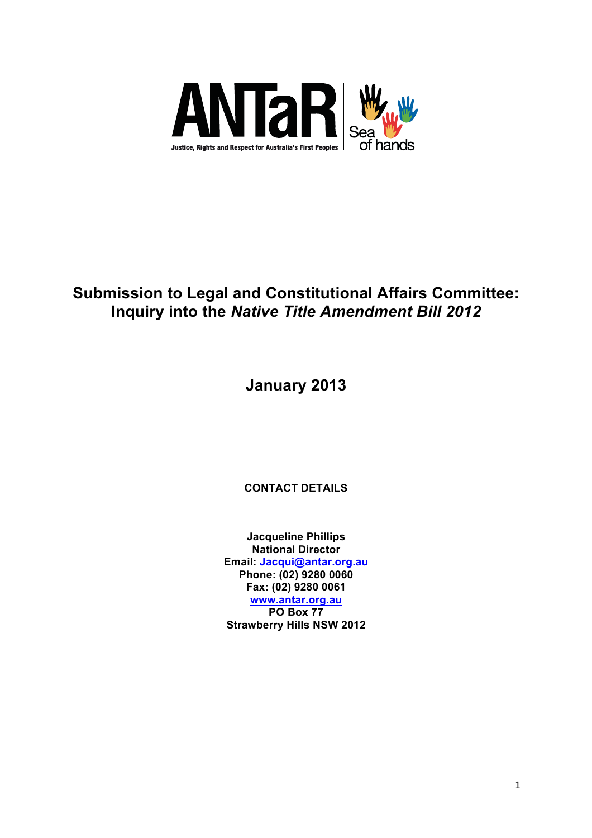

# **Submission to Legal and Constitutional Affairs Committee: Inquiry into the** *Native Title Amendment Bill 2012*

**January 2013**

**CONTACT DETAILS**

**Jacqueline Phillips National Director Email: Jacqui@antar.org.au Phone: (02) 9280 0060 Fax: (02) 9280 0061 www.antar.org.au PO Box 77 Strawberry Hills NSW 2012**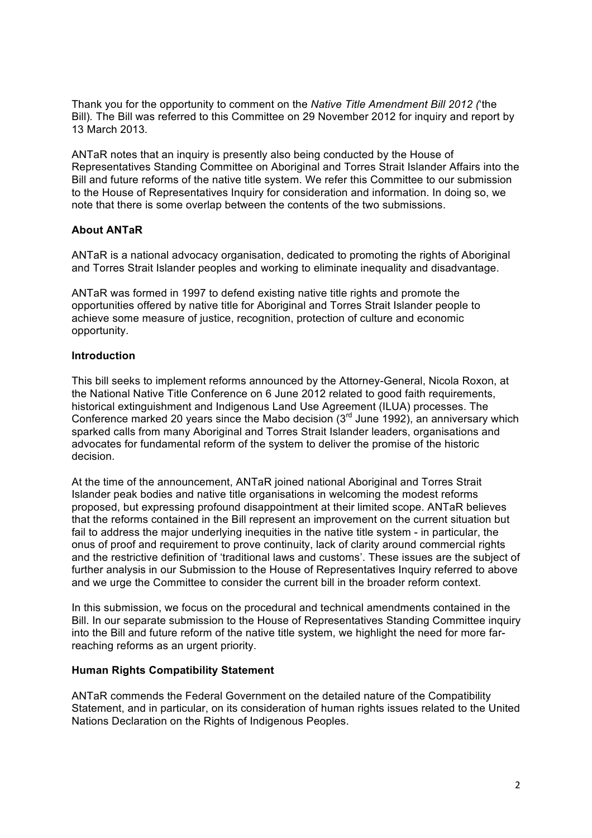Thank you for the opportunity to comment on the *Native Title Amendment Bill 2012 (*'the Bill)*.* The Bill was referred to this Committee on 29 November 2012 for inquiry and report by 13 March 2013.

ANTaR notes that an inquiry is presently also being conducted by the House of Representatives Standing Committee on Aboriginal and Torres Strait Islander Affairs into the Bill and future reforms of the native title system. We refer this Committee to our submission to the House of Representatives Inquiry for consideration and information. In doing so, we note that there is some overlap between the contents of the two submissions.

# **About ANTaR**

ANTaR is a national advocacy organisation, dedicated to promoting the rights of Aboriginal and Torres Strait Islander peoples and working to eliminate inequality and disadvantage.

ANTaR was formed in 1997 to defend existing native title rights and promote the opportunities offered by native title for Aboriginal and Torres Strait Islander people to achieve some measure of justice, recognition, protection of culture and economic opportunity.

#### **Introduction**

This bill seeks to implement reforms announced by the Attorney-General, Nicola Roxon, at the National Native Title Conference on 6 June 2012 related to good faith requirements, historical extinguishment and Indigenous Land Use Agreement (ILUA) processes. The Conference marked 20 years since the Mabo decision  $(3<sup>rd</sup>$  June 1992), an anniversary which sparked calls from many Aboriginal and Torres Strait Islander leaders, organisations and advocates for fundamental reform of the system to deliver the promise of the historic decision.

At the time of the announcement, ANTaR joined national Aboriginal and Torres Strait Islander peak bodies and native title organisations in welcoming the modest reforms proposed, but expressing profound disappointment at their limited scope. ANTaR believes that the reforms contained in the Bill represent an improvement on the current situation but fail to address the major underlying inequities in the native title system - in particular, the onus of proof and requirement to prove continuity, lack of clarity around commercial rights and the restrictive definition of 'traditional laws and customs'. These issues are the subject of further analysis in our Submission to the House of Representatives Inquiry referred to above and we urge the Committee to consider the current bill in the broader reform context.

In this submission, we focus on the procedural and technical amendments contained in the Bill. In our separate submission to the House of Representatives Standing Committee inquiry into the Bill and future reform of the native title system, we highlight the need for more farreaching reforms as an urgent priority.

#### **Human Rights Compatibility Statement**

ANTaR commends the Federal Government on the detailed nature of the Compatibility Statement, and in particular, on its consideration of human rights issues related to the United Nations Declaration on the Rights of Indigenous Peoples.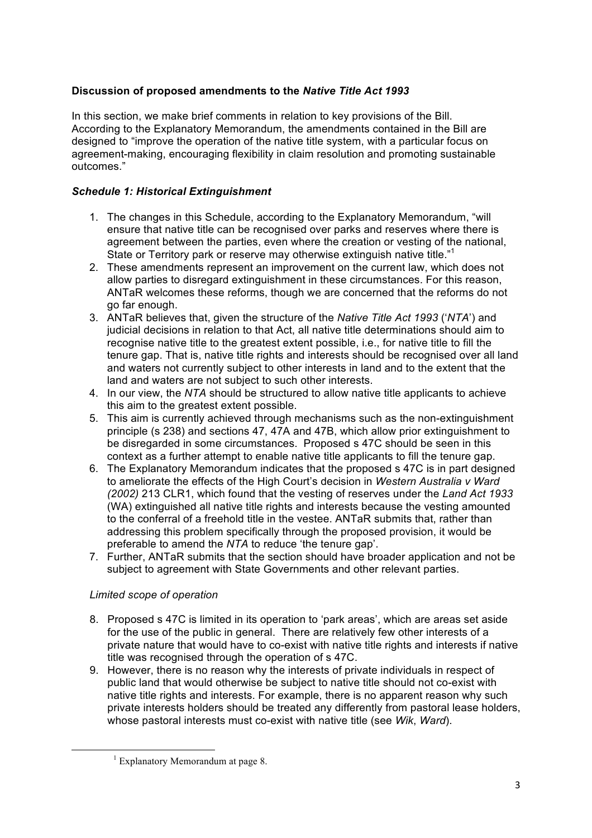# **Discussion of proposed amendments to the** *Native Title Act 1993*

In this section, we make brief comments in relation to key provisions of the Bill. According to the Explanatory Memorandum, the amendments contained in the Bill are designed to "improve the operation of the native title system, with a particular focus on agreement-making, encouraging flexibility in claim resolution and promoting sustainable outcomes."

# *Schedule 1: Historical Extinguishment*

- 1. The changes in this Schedule, according to the Explanatory Memorandum, "will ensure that native title can be recognised over parks and reserves where there is agreement between the parties, even where the creation or vesting of the national, State or Territory park or reserve may otherwise extinguish native title."<sup>1</sup>
- 2. These amendments represent an improvement on the current law, which does not allow parties to disregard extinguishment in these circumstances. For this reason, ANTaR welcomes these reforms, though we are concerned that the reforms do not go far enough.
- 3. ANTaR believes that, given the structure of the *Native Title Act 1993* ('*NTA*') and judicial decisions in relation to that Act, all native title determinations should aim to recognise native title to the greatest extent possible, i.e., for native title to fill the tenure gap. That is, native title rights and interests should be recognised over all land and waters not currently subject to other interests in land and to the extent that the land and waters are not subject to such other interests.
- 4. In our view, the *NTA* should be structured to allow native title applicants to achieve this aim to the greatest extent possible.
- 5. This aim is currently achieved through mechanisms such as the non-extinguishment principle (s 238) and sections 47, 47A and 47B, which allow prior extinguishment to be disregarded in some circumstances. Proposed s 47C should be seen in this context as a further attempt to enable native title applicants to fill the tenure gap.
- 6. The Explanatory Memorandum indicates that the proposed s 47C is in part designed to ameliorate the effects of the High Court's decision in *Western Australia v Ward (2002)* 213 CLR1, which found that the vesting of reserves under the *Land Act 1933* (WA) extinguished all native title rights and interests because the vesting amounted to the conferral of a freehold title in the vestee. ANTaR submits that, rather than addressing this problem specifically through the proposed provision, it would be preferable to amend the *NTA* to reduce 'the tenure gap'.
- 7. Further, ANTaR submits that the section should have broader application and not be subject to agreement with State Governments and other relevant parties.

# *Limited scope of operation*

- 8. Proposed s 47C is limited in its operation to 'park areas', which are areas set aside for the use of the public in general. There are relatively few other interests of a private nature that would have to co-exist with native title rights and interests if native title was recognised through the operation of s 47C.
- 9. However, there is no reason why the interests of private individuals in respect of public land that would otherwise be subject to native title should not co-exist with native title rights and interests. For example, there is no apparent reason why such private interests holders should be treated any differently from pastoral lease holders, whose pastoral interests must co-exist with native title (see *Wik*, *Ward*).

<sup>&</sup>lt;u> 1989 - Jan Samuel Barbara, margaret e</u>  $1$  Explanatory Memorandum at page 8.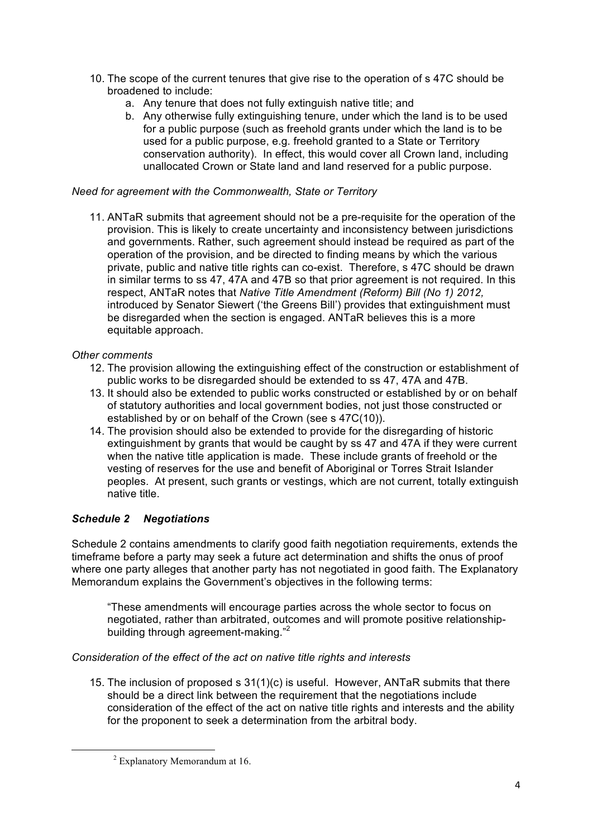- 10. The scope of the current tenures that give rise to the operation of s 47C should be broadened to include:
	- a. Any tenure that does not fully extinguish native title; and
	- b. Any otherwise fully extinguishing tenure, under which the land is to be used for a public purpose (such as freehold grants under which the land is to be used for a public purpose, e.g. freehold granted to a State or Territory conservation authority). In effect, this would cover all Crown land, including unallocated Crown or State land and land reserved for a public purpose.

#### *Need for agreement with the Commonwealth, State or Territory*

11. ANTaR submits that agreement should not be a pre-requisite for the operation of the provision. This is likely to create uncertainty and inconsistency between jurisdictions and governments. Rather, such agreement should instead be required as part of the operation of the provision, and be directed to finding means by which the various private, public and native title rights can co-exist. Therefore, s 47C should be drawn in similar terms to ss 47, 47A and 47B so that prior agreement is not required. In this respect, ANTaR notes that *Native Title Amendment (Reform) Bill (No 1) 2012,*  introduced by Senator Siewert ('the Greens Bill') provides that extinguishment must be disregarded when the section is engaged. ANTaR believes this is a more equitable approach.

#### *Other comments*

- 12. The provision allowing the extinguishing effect of the construction or establishment of public works to be disregarded should be extended to ss 47, 47A and 47B.
- 13. It should also be extended to public works constructed or established by or on behalf of statutory authorities and local government bodies, not just those constructed or established by or on behalf of the Crown (see s 47C(10)).
- 14. The provision should also be extended to provide for the disregarding of historic extinguishment by grants that would be caught by ss 47 and 47A if they were current when the native title application is made. These include grants of freehold or the vesting of reserves for the use and benefit of Aboriginal or Torres Strait Islander peoples. At present, such grants or vestings, which are not current, totally extinguish native title.

# *Schedule 2 Negotiations*

Schedule 2 contains amendments to clarify good faith negotiation requirements, extends the timeframe before a party may seek a future act determination and shifts the onus of proof where one party alleges that another party has not negotiated in good faith. The Explanatory Memorandum explains the Government's objectives in the following terms:

"These amendments will encourage parties across the whole sector to focus on negotiated, rather than arbitrated, outcomes and will promote positive relationshipbuilding through agreement-making."<sup>2</sup>

# *Consideration of the effect of the act on native title rights and interests*

15. The inclusion of proposed s 31(1)(c) is useful. However, ANTaR submits that there should be a direct link between the requirement that the negotiations include consideration of the effect of the act on native title rights and interests and the ability for the proponent to seek a determination from the arbitral body.

<u> 1989 - Jan Samuel Barbara, margaret e</u>

 $2$  Explanatory Memorandum at 16.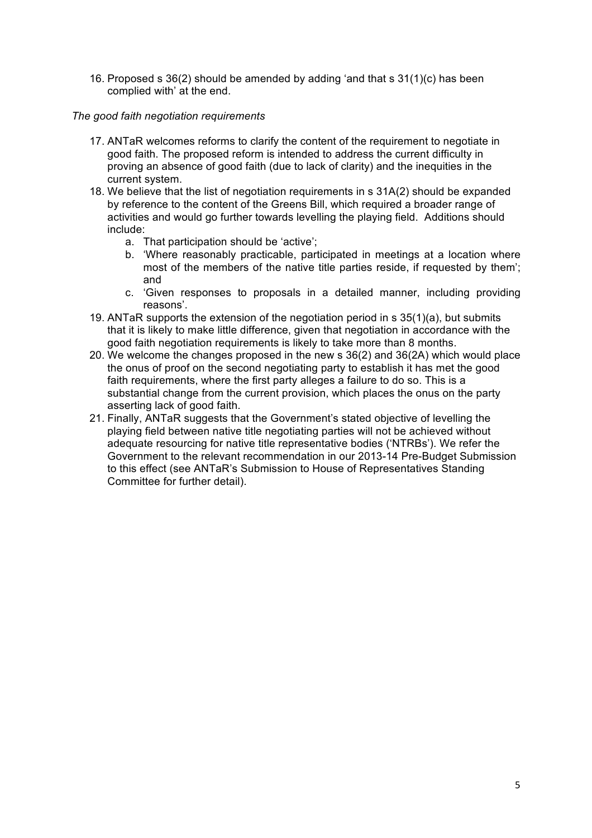16. Proposed s 36(2) should be amended by adding 'and that s 31(1)(c) has been complied with' at the end.

# *The good faith negotiation requirements*

- 17. ANTaR welcomes reforms to clarify the content of the requirement to negotiate in good faith. The proposed reform is intended to address the current difficulty in proving an absence of good faith (due to lack of clarity) and the inequities in the current system.
- 18. We believe that the list of negotiation requirements in s 31A(2) should be expanded by reference to the content of the Greens Bill, which required a broader range of activities and would go further towards levelling the playing field. Additions should include:
	- a. That participation should be 'active';
	- b. 'Where reasonably practicable, participated in meetings at a location where most of the members of the native title parties reside, if requested by them'; and
	- c. 'Given responses to proposals in a detailed manner, including providing reasons'.
- 19. ANTaR supports the extension of the negotiation period in s 35(1)(a), but submits that it is likely to make little difference, given that negotiation in accordance with the good faith negotiation requirements is likely to take more than 8 months.
- 20. We welcome the changes proposed in the new s 36(2) and 36(2A) which would place the onus of proof on the second negotiating party to establish it has met the good faith requirements, where the first party alleges a failure to do so. This is a substantial change from the current provision, which places the onus on the party asserting lack of good faith.
- 21. Finally, ANTaR suggests that the Government's stated objective of levelling the playing field between native title negotiating parties will not be achieved without adequate resourcing for native title representative bodies ('NTRBs'). We refer the Government to the relevant recommendation in our 2013-14 Pre-Budget Submission to this effect (see ANTaR's Submission to House of Representatives Standing Committee for further detail).